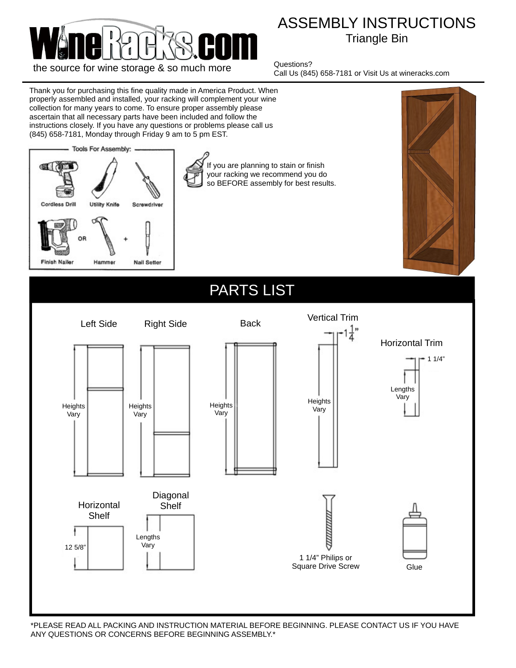

## ASSEMBLY INSTRUCTIONS Triangle Bin

Questions? Call Us (845) 658-7181 or Visit Us at wineracks.com



\*PLEASE READ ALL PACKING AND INSTRUCTION MATERIAL BEFORE BEGINNING. PLEASE CONTACT US IF YOU HAVE ANY QUESTIONS OR CONCERNS BEFORE BEGINNING ASSEMBLY.\*